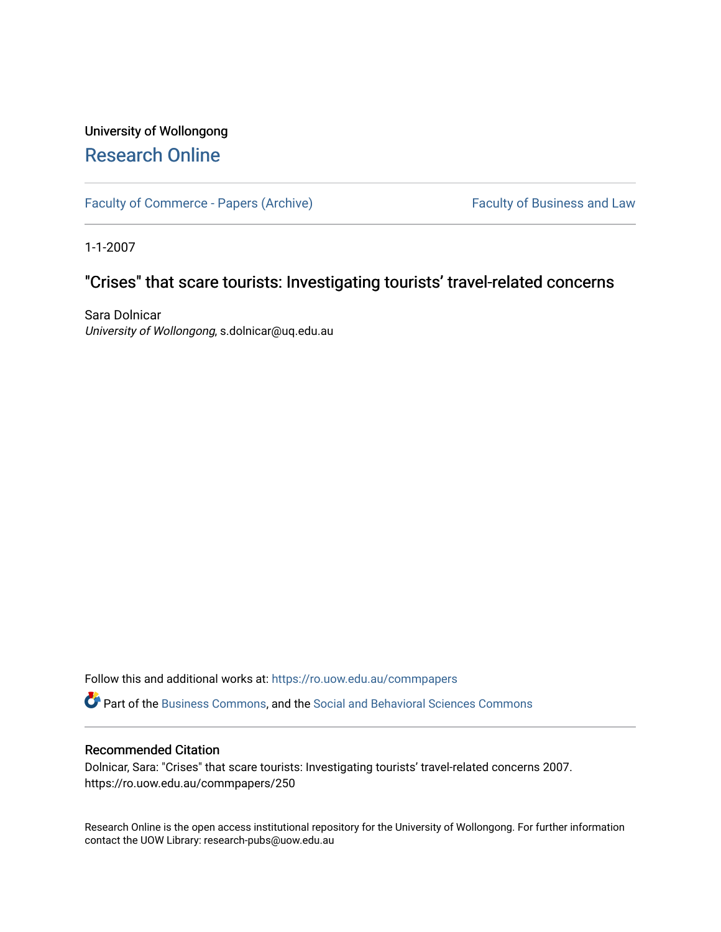# University of Wollongong [Research Online](https://ro.uow.edu.au/)

[Faculty of Commerce - Papers \(Archive\)](https://ro.uow.edu.au/commpapers) Faculty of Business and Law

1-1-2007

## "Crises" that scare tourists: Investigating tourists' travel-related concerns

Sara Dolnicar University of Wollongong, s.dolnicar@uq.edu.au

Follow this and additional works at: [https://ro.uow.edu.au/commpapers](https://ro.uow.edu.au/commpapers?utm_source=ro.uow.edu.au%2Fcommpapers%2F250&utm_medium=PDF&utm_campaign=PDFCoverPages) 

Part of the [Business Commons](http://network.bepress.com/hgg/discipline/622?utm_source=ro.uow.edu.au%2Fcommpapers%2F250&utm_medium=PDF&utm_campaign=PDFCoverPages), and the [Social and Behavioral Sciences Commons](http://network.bepress.com/hgg/discipline/316?utm_source=ro.uow.edu.au%2Fcommpapers%2F250&utm_medium=PDF&utm_campaign=PDFCoverPages) 

#### Recommended Citation

Dolnicar, Sara: "Crises" that scare tourists: Investigating tourists' travel-related concerns 2007. https://ro.uow.edu.au/commpapers/250

Research Online is the open access institutional repository for the University of Wollongong. For further information contact the UOW Library: research-pubs@uow.edu.au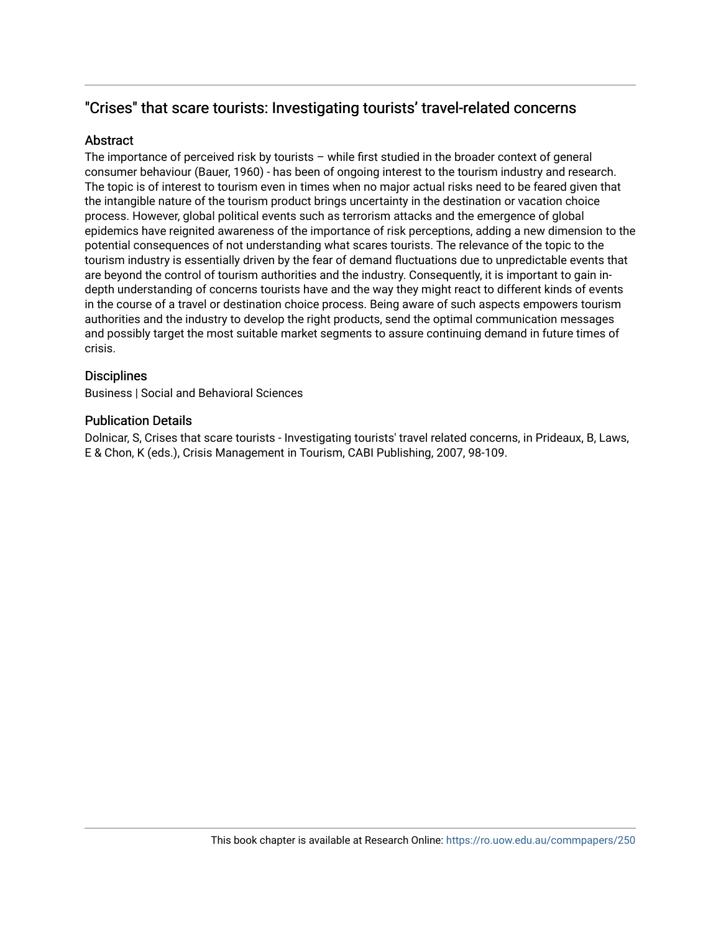## "Crises" that scare tourists: Investigating tourists' travel-related concerns

## Abstract

The importance of perceived risk by tourists – while first studied in the broader context of general consumer behaviour (Bauer, 1960) - has been of ongoing interest to the tourism industry and research. The topic is of interest to tourism even in times when no major actual risks need to be feared given that the intangible nature of the tourism product brings uncertainty in the destination or vacation choice process. However, global political events such as terrorism attacks and the emergence of global epidemics have reignited awareness of the importance of risk perceptions, adding a new dimension to the potential consequences of not understanding what scares tourists. The relevance of the topic to the tourism industry is essentially driven by the fear of demand fluctuations due to unpredictable events that are beyond the control of tourism authorities and the industry. Consequently, it is important to gain indepth understanding of concerns tourists have and the way they might react to different kinds of events in the course of a travel or destination choice process. Being aware of such aspects empowers tourism authorities and the industry to develop the right products, send the optimal communication messages and possibly target the most suitable market segments to assure continuing demand in future times of crisis.

### **Disciplines**

Business | Social and Behavioral Sciences

### Publication Details

Dolnicar, S, Crises that scare tourists - Investigating tourists' travel related concerns, in Prideaux, B, Laws, E & Chon, K (eds.), Crisis Management in Tourism, CABI Publishing, 2007, 98-109.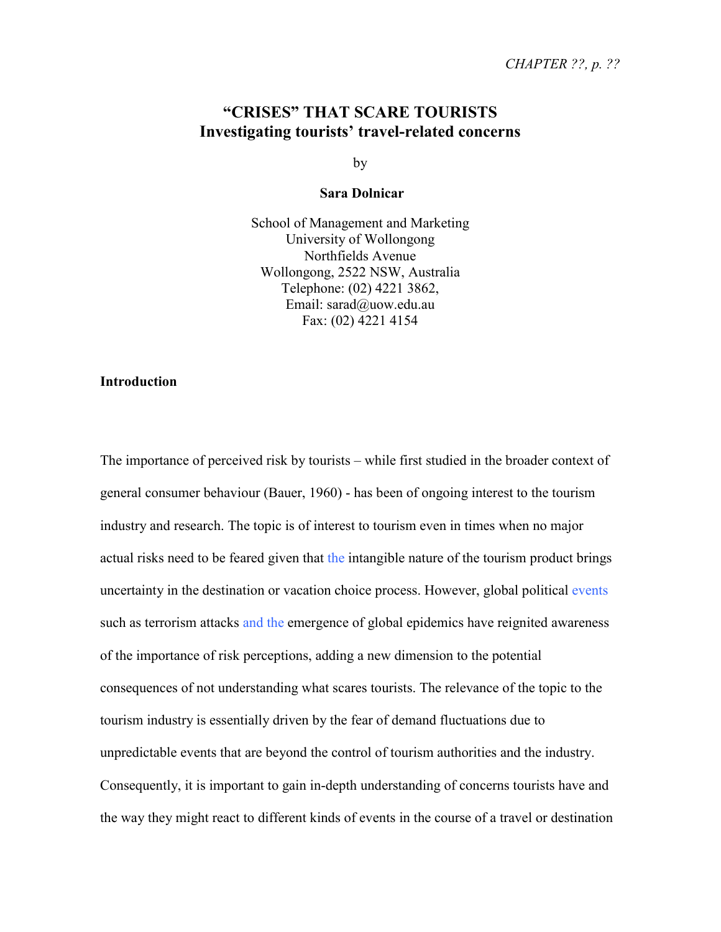## **"CRISES" THAT SCARE TOURISTS Investigating tourists' travel-related concerns**

by

#### **Sara Dolnicar**

School of Management and Marketing University of Wollongong Northfields Avenue Wollongong, 2522 NSW, Australia Telephone: (02) 4221 3862, Email: sarad@uow.edu.au Fax: (02) 4221 4154

#### **Introduction**

The importance of perceived risk by tourists – while first studied in the broader context of general consumer behaviour (Bauer, 1960) - has been of ongoing interest to the tourism industry and research. The topic is of interest to tourism even in times when no major actual risks need to be feared given that the intangible nature of the tourism product brings uncertainty in the destination or vacation choice process. However, global political events such as terrorism attacks and the emergence of global epidemics have reignited awareness of the importance of risk perceptions, adding a new dimension to the potential consequences of not understanding what scares tourists. The relevance of the topic to the tourism industry is essentially driven by the fear of demand fluctuations due to unpredictable events that are beyond the control of tourism authorities and the industry. Consequently, it is important to gain in-depth understanding of concerns tourists have and the way they might react to different kinds of events in the course of a travel or destination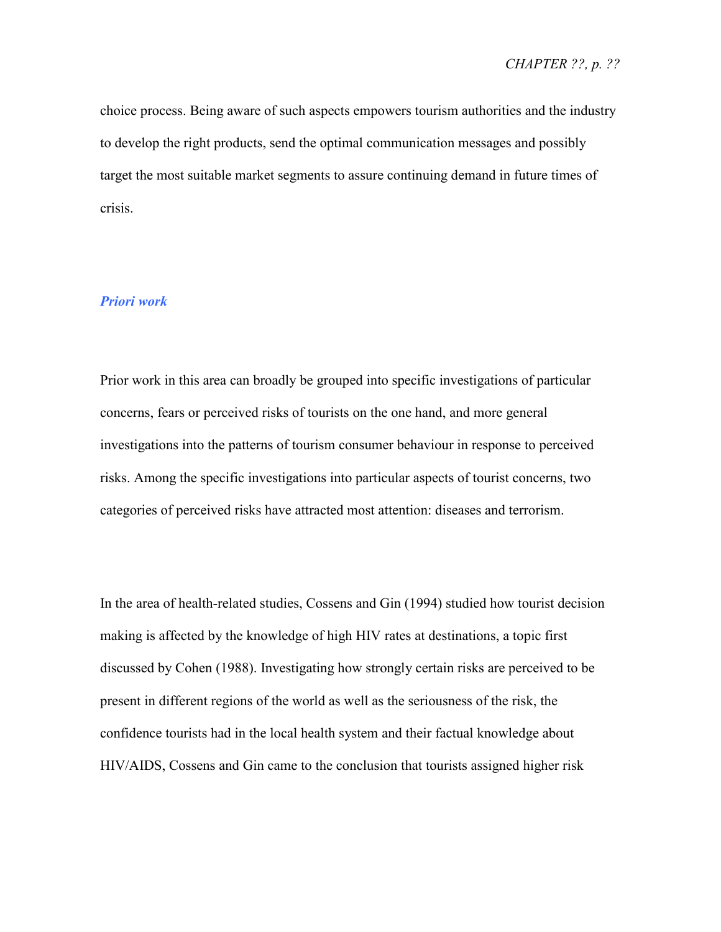choice process. Being aware of such aspects empowers tourism authorities and the industry to develop the right products, send the optimal communication messages and possibly target the most suitable market segments to assure continuing demand in future times of crisis.

## *Priori work*

Prior work in this area can broadly be grouped into specific investigations of particular concerns, fears or perceived risks of tourists on the one hand, and more general investigations into the patterns of tourism consumer behaviour in response to perceived risks. Among the specific investigations into particular aspects of tourist concerns, two categories of perceived risks have attracted most attention: diseases and terrorism.

In the area of health-related studies, Cossens and Gin (1994) studied how tourist decision making is affected by the knowledge of high HIV rates at destinations, a topic first discussed by Cohen (1988). Investigating how strongly certain risks are perceived to be present in different regions of the world as well as the seriousness of the risk, the confidence tourists had in the local health system and their factual knowledge about HIV/AIDS, Cossens and Gin came to the conclusion that tourists assigned higher risk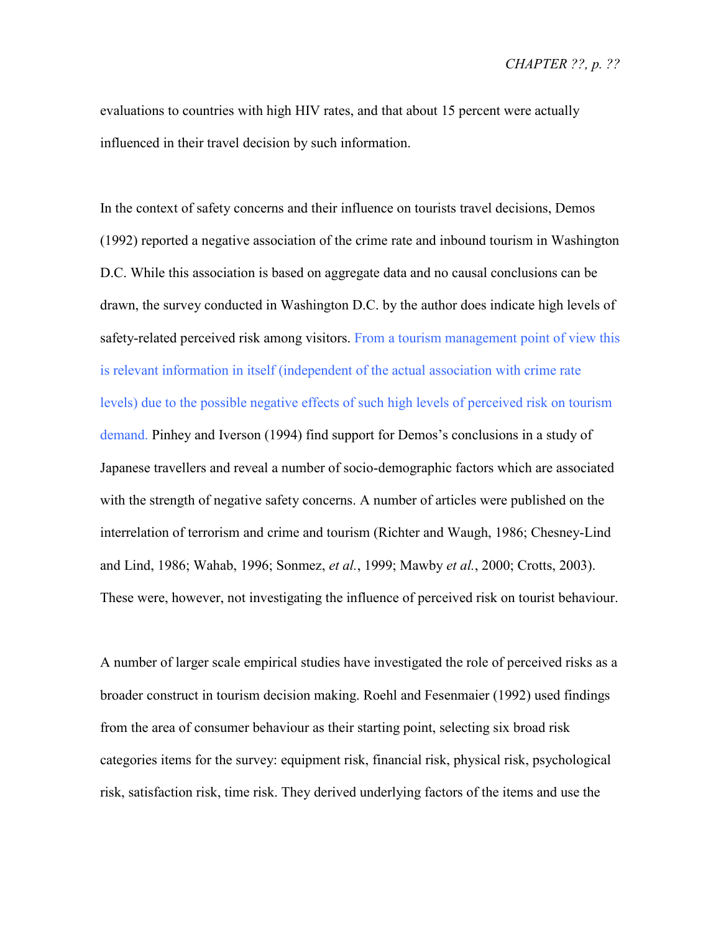*CHAPTER ??, p. ??* 

evaluations to countries with high HIV rates, and that about 15 percent were actually influenced in their travel decision by such information.

In the context of safety concerns and their influence on tourists travel decisions, Demos (1992) reported a negative association of the crime rate and inbound tourism in Washington D.C. While this association is based on aggregate data and no causal conclusions can be drawn, the survey conducted in Washington D.C. by the author does indicate high levels of safety-related perceived risk among visitors. From a tourism management point of view this is relevant information in itself (independent of the actual association with crime rate levels) due to the possible negative effects of such high levels of perceived risk on tourism demand. Pinhey and Iverson (1994) find support for Demos's conclusions in a study of Japanese travellers and reveal a number of socio-demographic factors which are associated with the strength of negative safety concerns. A number of articles were published on the interrelation of terrorism and crime and tourism (Richter and Waugh, 1986; Chesney-Lind and Lind, 1986; Wahab, 1996; Sonmez, *et al.*, 1999; Mawby *et al.*, 2000; Crotts, 2003). These were, however, not investigating the influence of perceived risk on tourist behaviour.

A number of larger scale empirical studies have investigated the role of perceived risks as a broader construct in tourism decision making. Roehl and Fesenmaier (1992) used findings from the area of consumer behaviour as their starting point, selecting six broad risk categories items for the survey: equipment risk, financial risk, physical risk, psychological risk, satisfaction risk, time risk. They derived underlying factors of the items and use the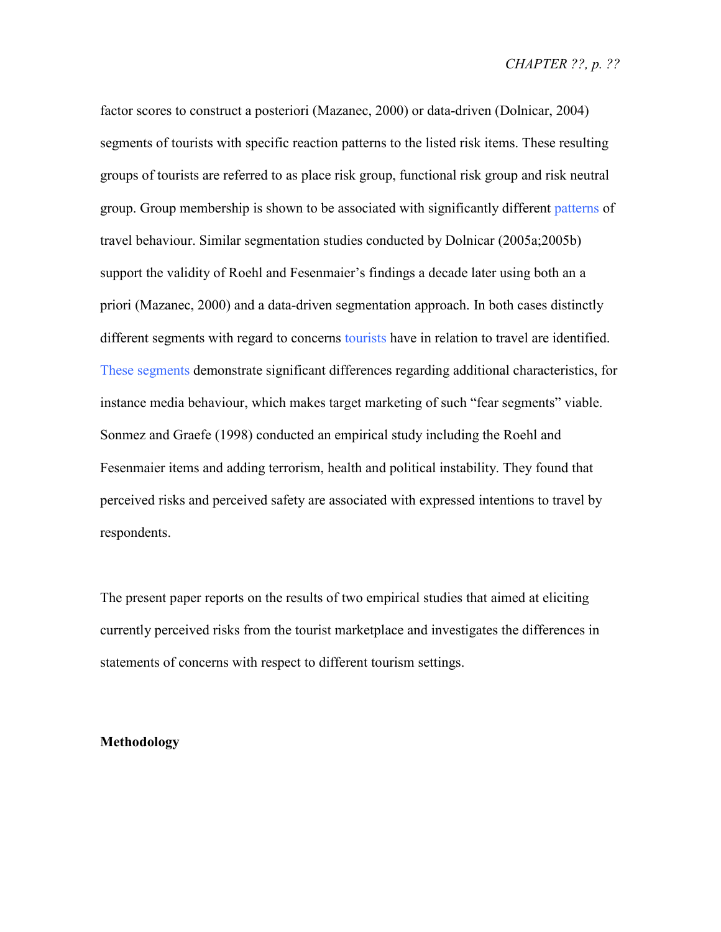factor scores to construct a posteriori (Mazanec, 2000) or data-driven (Dolnicar, 2004) segments of tourists with specific reaction patterns to the listed risk items. These resulting groups of tourists are referred to as place risk group, functional risk group and risk neutral group. Group membership is shown to be associated with significantly different patterns of travel behaviour. Similar segmentation studies conducted by Dolnicar (2005a;2005b) support the validity of Roehl and Fesenmaier's findings a decade later using both an a priori (Mazanec, 2000) and a data-driven segmentation approach. In both cases distinctly different segments with regard to concerns tourists have in relation to travel are identified. These segments demonstrate significant differences regarding additional characteristics, for instance media behaviour, which makes target marketing of such "fear segments" viable. Sonmez and Graefe (1998) conducted an empirical study including the Roehl and Fesenmaier items and adding terrorism, health and political instability. They found that perceived risks and perceived safety are associated with expressed intentions to travel by respondents.

The present paper reports on the results of two empirical studies that aimed at eliciting currently perceived risks from the tourist marketplace and investigates the differences in statements of concerns with respect to different tourism settings.

#### **Methodology**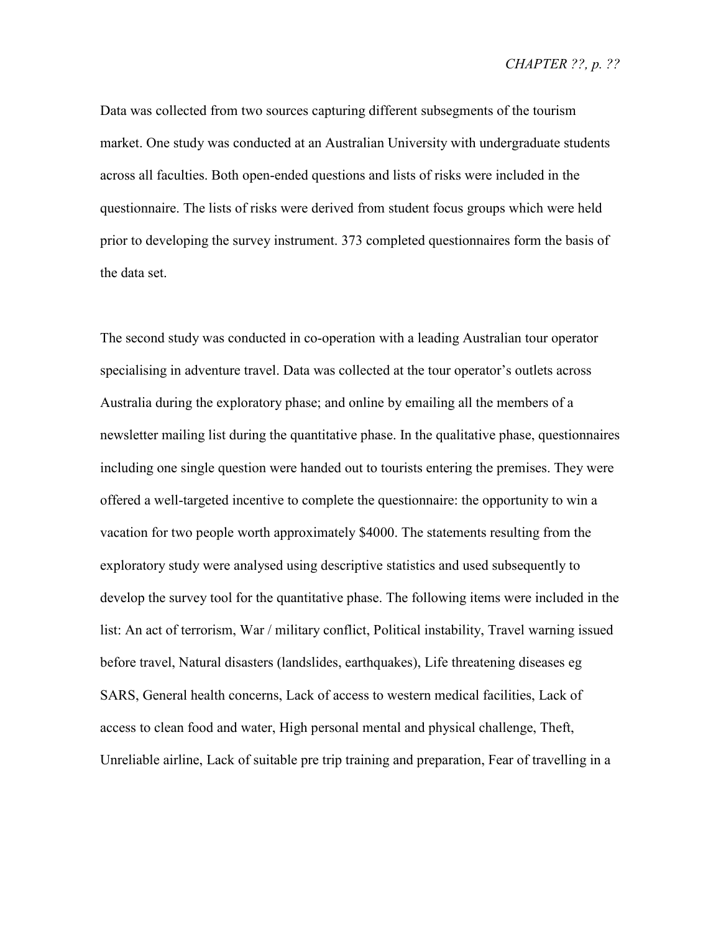Data was collected from two sources capturing different subsegments of the tourism market. One study was conducted at an Australian University with undergraduate students across all faculties. Both open-ended questions and lists of risks were included in the questionnaire. The lists of risks were derived from student focus groups which were held prior to developing the survey instrument. 373 completed questionnaires form the basis of the data set.

The second study was conducted in co-operation with a leading Australian tour operator specialising in adventure travel. Data was collected at the tour operator's outlets across Australia during the exploratory phase; and online by emailing all the members of a newsletter mailing list during the quantitative phase. In the qualitative phase, questionnaires including one single question were handed out to tourists entering the premises. They were offered a well-targeted incentive to complete the questionnaire: the opportunity to win a vacation for two people worth approximately \$4000. The statements resulting from the exploratory study were analysed using descriptive statistics and used subsequently to develop the survey tool for the quantitative phase. The following items were included in the list: An act of terrorism, War / military conflict, Political instability, Travel warning issued before travel, Natural disasters (landslides, earthquakes), Life threatening diseases eg SARS, General health concerns, Lack of access to western medical facilities, Lack of access to clean food and water, High personal mental and physical challenge, Theft, Unreliable airline, Lack of suitable pre trip training and preparation, Fear of travelling in a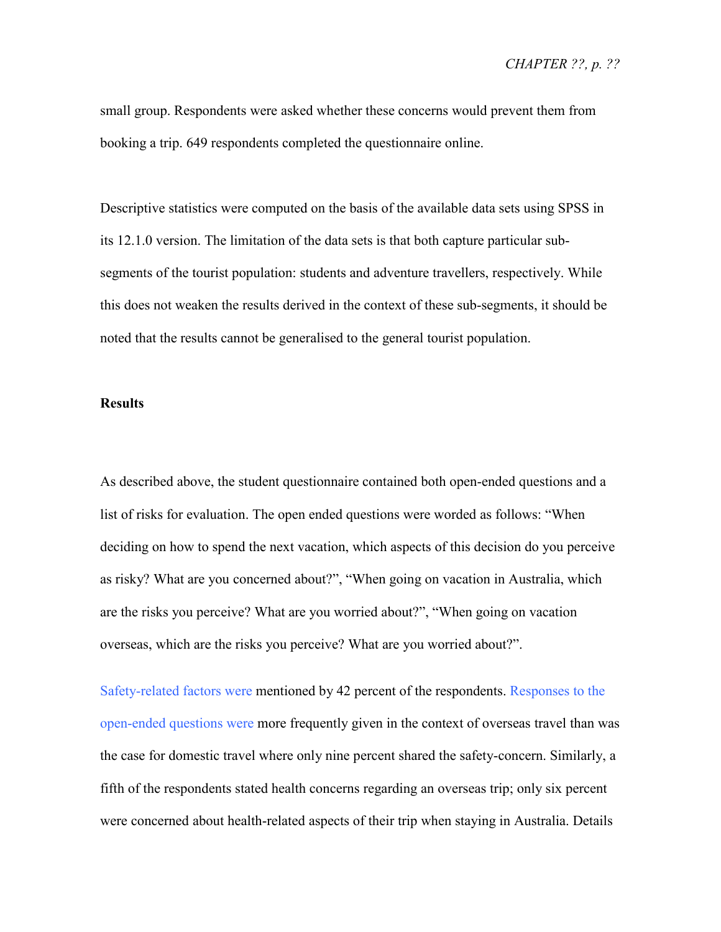small group. Respondents were asked whether these concerns would prevent them from booking a trip. 649 respondents completed the questionnaire online.

Descriptive statistics were computed on the basis of the available data sets using SPSS in its 12.1.0 version. The limitation of the data sets is that both capture particular subsegments of the tourist population: students and adventure travellers, respectively. While this does not weaken the results derived in the context of these sub-segments, it should be noted that the results cannot be generalised to the general tourist population.

#### **Results**

As described above, the student questionnaire contained both open-ended questions and a list of risks for evaluation. The open ended questions were worded as follows: "When deciding on how to spend the next vacation, which aspects of this decision do you perceive as risky? What are you concerned about?", "When going on vacation in Australia, which are the risks you perceive? What are you worried about?", "When going on vacation overseas, which are the risks you perceive? What are you worried about?".

Safety-related factors were mentioned by 42 percent of the respondents. Responses to the open-ended questions were more frequently given in the context of overseas travel than was the case for domestic travel where only nine percent shared the safety-concern. Similarly, a fifth of the respondents stated health concerns regarding an overseas trip; only six percent were concerned about health-related aspects of their trip when staying in Australia. Details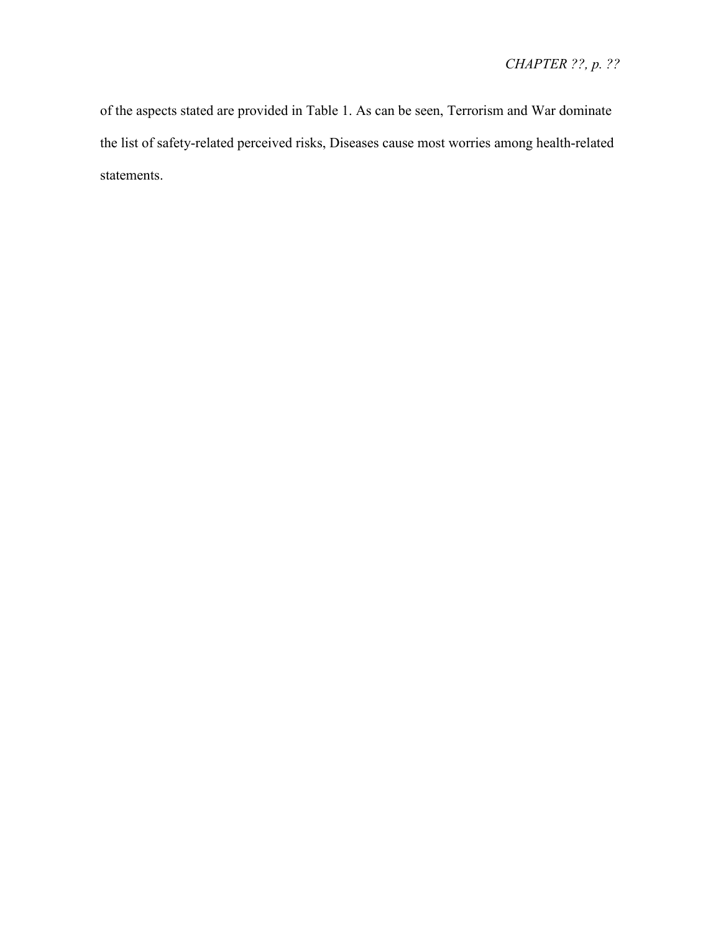of the aspects stated are provided in Table 1. As can be seen, Terrorism and War dominate the list of safety-related perceived risks, Diseases cause most worries among health-related statements.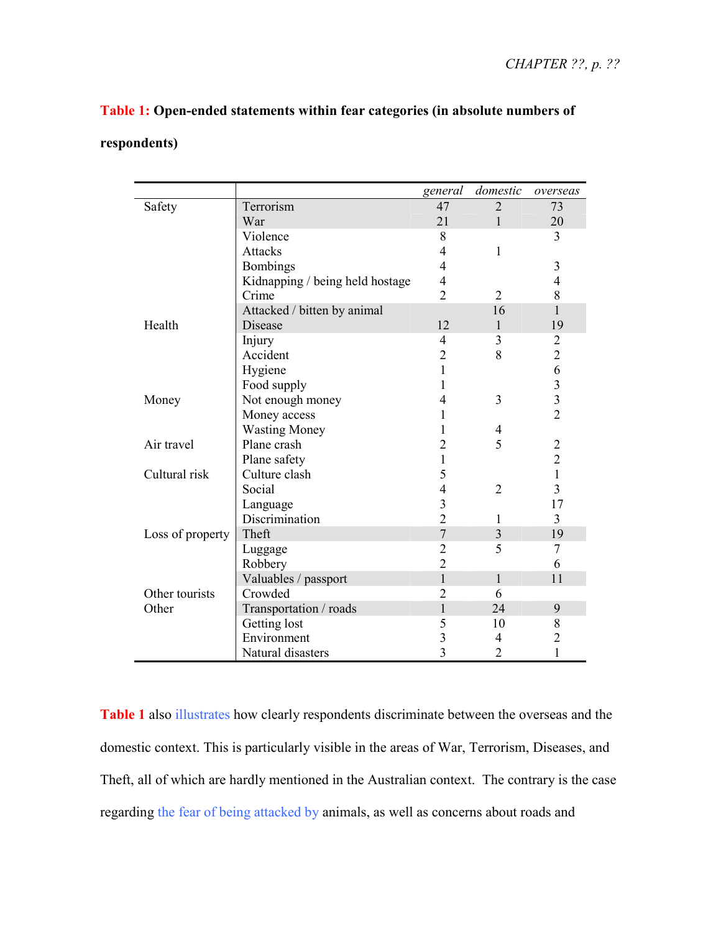## **Table 1: Open-ended statements within fear categories (in absolute numbers of**

## **respondents)**

|                  |                                 | general        | domestic       | overseas       |
|------------------|---------------------------------|----------------|----------------|----------------|
| Safety           | Terrorism                       | 47             | $\overline{2}$ | 73             |
|                  | War                             | 21             | $\mathbf{1}$   | 20             |
|                  | Violence                        | 8              |                | 3              |
|                  | <b>Attacks</b>                  | 4              | $\mathbf{1}$   |                |
|                  | <b>Bombings</b>                 | 4              |                | 3              |
|                  | Kidnapping / being held hostage | $\overline{4}$ |                | $\overline{4}$ |
|                  | Crime                           | $\overline{2}$ | $\overline{2}$ | 8              |
|                  | Attacked / bitten by animal     |                | 16             | $\mathbf{1}$   |
| Health           | Disease                         | 12             | $\mathbf{1}$   | 19             |
|                  | Injury                          | 4              | 3              | $\overline{2}$ |
|                  | Accident                        | $\overline{2}$ | 8              | $\overline{c}$ |
|                  | Hygiene                         | 1              |                | 6              |
|                  | Food supply                     | 1              |                | $\frac{3}{3}$  |
| Money            | Not enough money                | 4              | 3              |                |
|                  | Money access                    | 1              |                | $\overline{2}$ |
|                  | <b>Wasting Money</b>            | 1              | 4              |                |
| Air travel       | Plane crash                     | $\overline{2}$ | 5              | $\overline{c}$ |
|                  | Plane safety                    | 1              |                | $\overline{2}$ |
| Cultural risk    | Culture clash                   | 5              |                | $\mathbf{1}$   |
|                  | Social                          | 4              | $\overline{2}$ | $\overline{3}$ |
|                  | Language                        | $\overline{3}$ |                | 17             |
|                  | Discrimination                  | $\overline{2}$ | 1              | 3              |
| Loss of property | Theft                           | $\overline{7}$ | 3              | 19             |
|                  | Luggage                         | $\overline{2}$ | 5              | 7              |
|                  | Robbery                         | $\overline{2}$ |                | 6              |
|                  | Valuables / passport            | 1              | 1              | 11             |
| Other tourists   | Crowded                         | $\overline{2}$ | 6              |                |
| Other            | Transportation / roads          | $\mathbf{1}$   | 24             | 9              |
|                  | Getting lost                    | 5              | 10             | 8              |
|                  | Environment                     | 3              | $\overline{4}$ | $\overline{c}$ |
|                  | Natural disasters               | $\overline{3}$ | 2              | 1              |

**Table 1** also illustrates how clearly respondents discriminate between the overseas and the domestic context. This is particularly visible in the areas of War, Terrorism, Diseases, and Theft, all of which are hardly mentioned in the Australian context. The contrary is the case regarding the fear of being attacked by animals, as well as concerns about roads and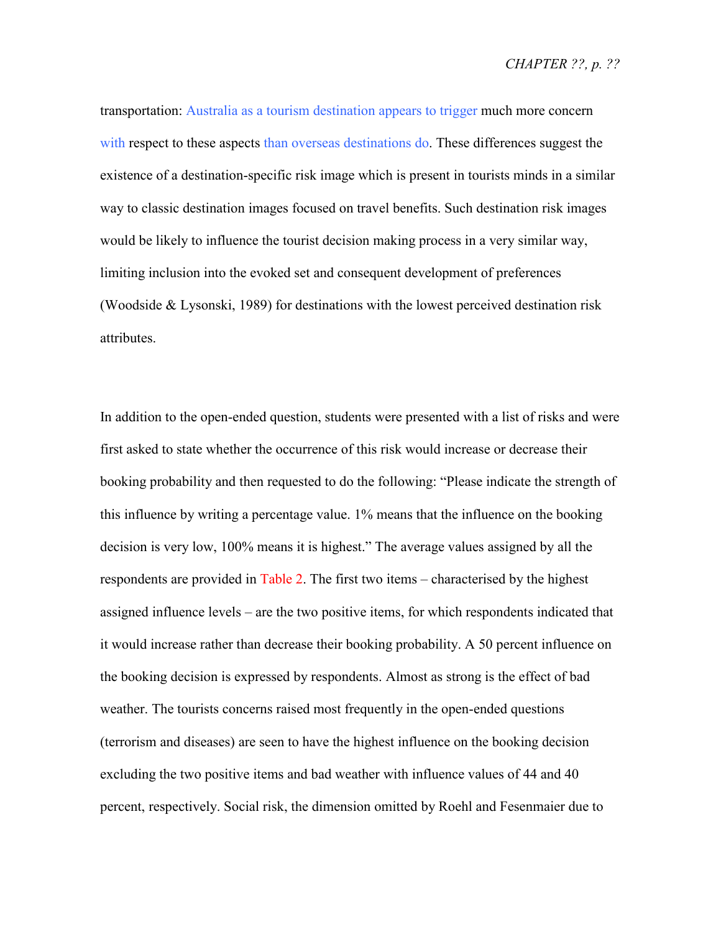transportation: Australia as a tourism destination appears to trigger much more concern with respect to these aspects than overseas destinations do. These differences suggest the existence of a destination-specific risk image which is present in tourists minds in a similar way to classic destination images focused on travel benefits. Such destination risk images would be likely to influence the tourist decision making process in a very similar way, limiting inclusion into the evoked set and consequent development of preferences (Woodside & Lysonski, 1989) for destinations with the lowest perceived destination risk attributes.

In addition to the open-ended question, students were presented with a list of risks and were first asked to state whether the occurrence of this risk would increase or decrease their booking probability and then requested to do the following: "Please indicate the strength of this influence by writing a percentage value. 1% means that the influence on the booking decision is very low, 100% means it is highest." The average values assigned by all the respondents are provided in Table 2. The first two items – characterised by the highest assigned influence levels – are the two positive items, for which respondents indicated that it would increase rather than decrease their booking probability. A 50 percent influence on the booking decision is expressed by respondents. Almost as strong is the effect of bad weather. The tourists concerns raised most frequently in the open-ended questions (terrorism and diseases) are seen to have the highest influence on the booking decision excluding the two positive items and bad weather with influence values of 44 and 40 percent, respectively. Social risk, the dimension omitted by Roehl and Fesenmaier due to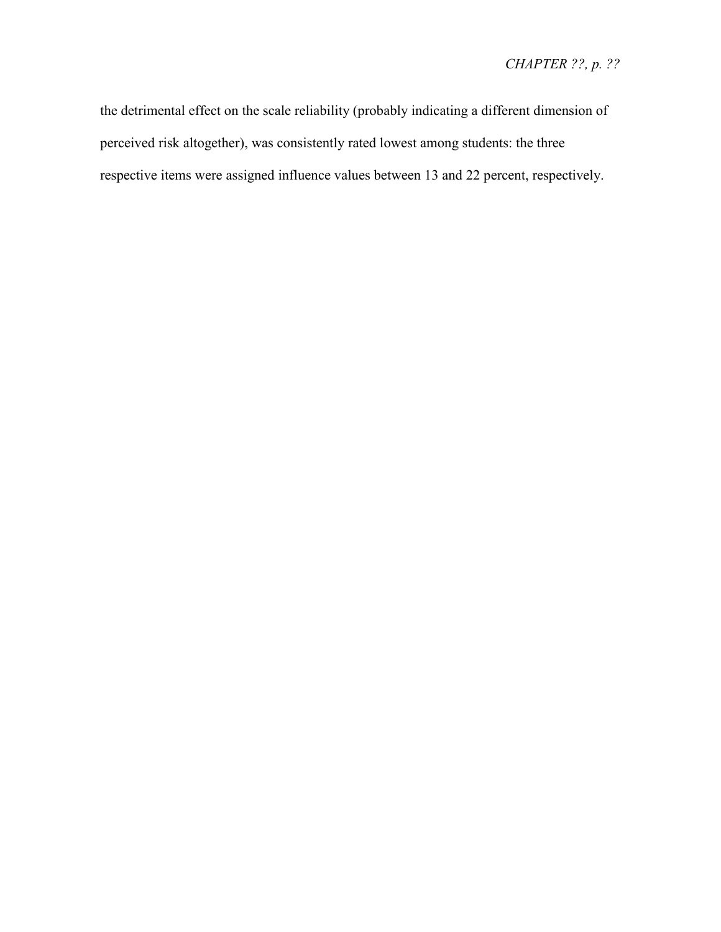the detrimental effect on the scale reliability (probably indicating a different dimension of perceived risk altogether), was consistently rated lowest among students: the three respective items were assigned influence values between 13 and 22 percent, respectively.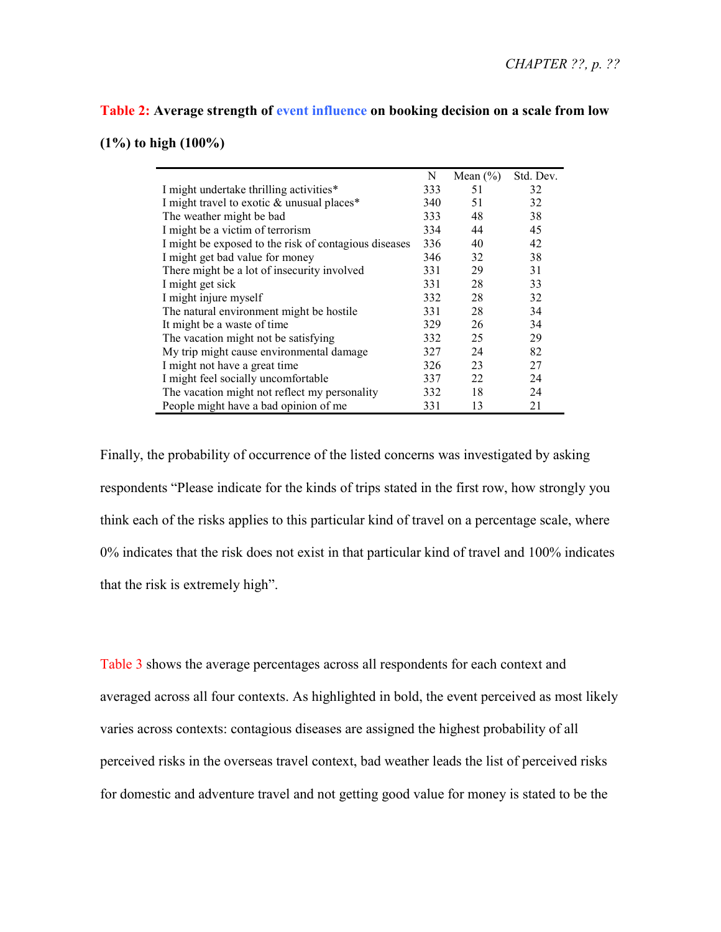### **Table 2: Average strength of event influence on booking decision on a scale from low**

**(1%) to high (100%)** 

|                                                       | N   | Mean $(\% )$ | Std. Dev. |
|-------------------------------------------------------|-----|--------------|-----------|
| I might undertake thrilling activities*               | 333 | 51           | 32        |
| I might travel to exotic & unusual places*            | 340 | 51           | 32        |
| The weather might be bad                              | 333 | 48           | 38        |
| I might be a victim of terrorism                      | 334 | 44           | 45        |
| I might be exposed to the risk of contagious diseases | 336 | 40           | 42        |
| I might get bad value for money                       | 346 | 32           | 38        |
| There might be a lot of insecurity involved           | 331 | 29           | 31        |
| I might get sick                                      | 331 | 28           | 33        |
| I might injure myself                                 | 332 | 28           | 32        |
| The natural environment might be hostile.             | 331 | 28           | 34        |
| It might be a waste of time                           | 329 | 26           | 34        |
| The vacation might not be satisfying                  | 332 | 25           | 29        |
| My trip might cause environmental damage              | 327 | 24           | 82        |
| I might not have a great time                         | 326 | 23           | 27        |
| I might feel socially uncomfortable                   | 337 | 22           | 24        |
| The vacation might not reflect my personality         | 332 | 18           | 24        |
| People might have a bad opinion of me                 | 331 | 13           | 21        |

Finally, the probability of occurrence of the listed concerns was investigated by asking respondents "Please indicate for the kinds of trips stated in the first row, how strongly you think each of the risks applies to this particular kind of travel on a percentage scale, where 0% indicates that the risk does not exist in that particular kind of travel and 100% indicates that the risk is extremely high".

Table 3 shows the average percentages across all respondents for each context and averaged across all four contexts. As highlighted in bold, the event perceived as most likely varies across contexts: contagious diseases are assigned the highest probability of all perceived risks in the overseas travel context, bad weather leads the list of perceived risks for domestic and adventure travel and not getting good value for money is stated to be the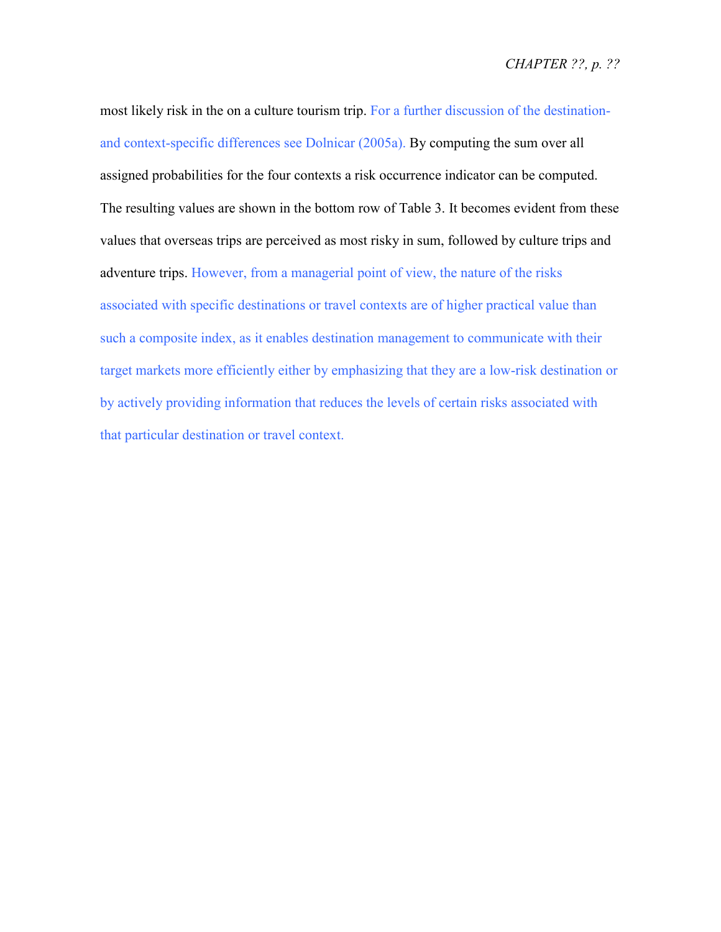most likely risk in the on a culture tourism trip. For a further discussion of the destinationand context-specific differences see Dolnicar (2005a). By computing the sum over all assigned probabilities for the four contexts a risk occurrence indicator can be computed. The resulting values are shown in the bottom row of Table 3. It becomes evident from these values that overseas trips are perceived as most risky in sum, followed by culture trips and adventure trips. However, from a managerial point of view, the nature of the risks associated with specific destinations or travel contexts are of higher practical value than such a composite index, as it enables destination management to communicate with their target markets more efficiently either by emphasizing that they are a low-risk destination or by actively providing information that reduces the levels of certain risks associated with that particular destination or travel context.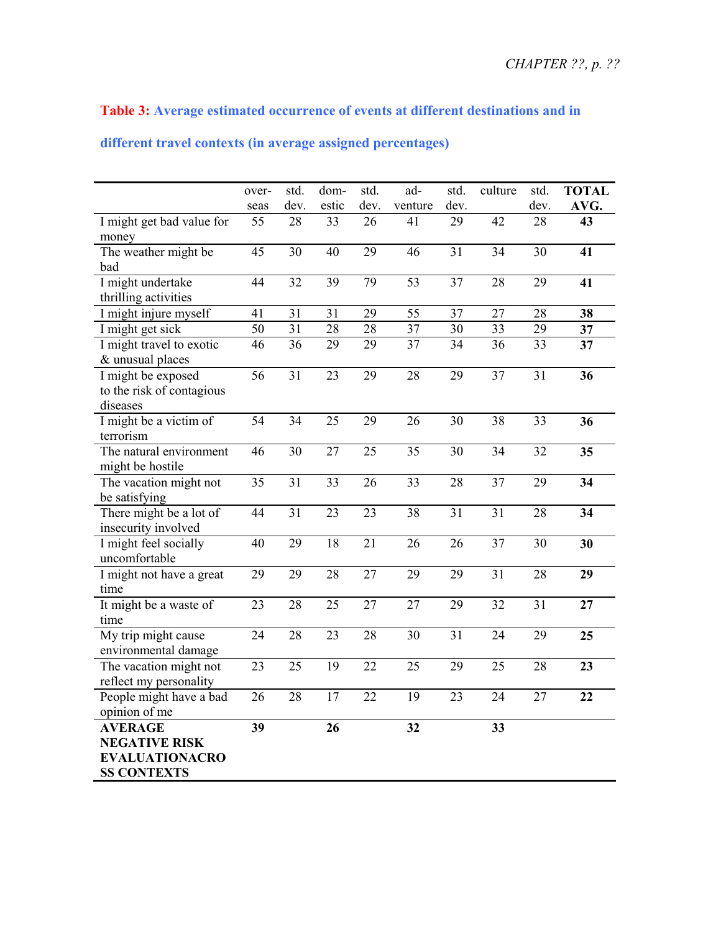## **Table 3: Average estimated occurrence of events at different destinations and in**

## **different travel contexts (in average assigned percentages)**

|                           | over-           | std.            | dom-            | std.            | ad-             | std.            | culture         | std.            | <b>TOTAL</b>    |
|---------------------------|-----------------|-----------------|-----------------|-----------------|-----------------|-----------------|-----------------|-----------------|-----------------|
|                           | seas            | dev.            | estic           | dev.            | venture         | dev.            |                 | dev.            | AVG.            |
| I might get bad value for | 55              | 28              | 33              | 26              | 41              | 29              | $\overline{42}$ | $\overline{28}$ | 43              |
| money                     |                 |                 |                 |                 |                 |                 |                 |                 |                 |
| The weather might be      | 45              | 30              | 40              | 29              | 46              | 31              | 34              | 30              | 41              |
| bad                       |                 |                 |                 |                 |                 |                 |                 |                 |                 |
| I might undertake         | $\overline{44}$ | $\overline{32}$ | $\overline{39}$ | 79              | $\overline{53}$ | $\overline{37}$ | $\overline{28}$ | $\overline{29}$ | 41              |
| thrilling activities      |                 |                 |                 |                 |                 |                 |                 |                 |                 |
| I might injure myself     | 41              | 31              | 31              | 29              | 55              | 37              | 27              | 28              | 38              |
| I might get sick          | 50              | 31              | 28              | 28              | 37              | 30              | 33              | 29              | 37              |
| I might travel to exotic  | 46              | 36              | 29              | 29              | 37              | 34              | 36              | 33              | 37              |
| & unusual places          |                 |                 |                 |                 |                 |                 |                 |                 |                 |
| I might be exposed        | 56              | 31              | 23              | 29              | 28              | 29              | 37              | 31              | 36              |
| to the risk of contagious |                 |                 |                 |                 |                 |                 |                 |                 |                 |
| diseases                  |                 |                 |                 |                 |                 |                 |                 |                 |                 |
| I might be a victim of    | 54              | 34              | 25              | 29              | 26              | 30              | 38              | 33              | 36              |
| terrorism                 |                 |                 |                 |                 |                 |                 |                 |                 |                 |
| The natural environment   | $\overline{46}$ | $\overline{30}$ | $\overline{27}$ | $\overline{25}$ | $\overline{35}$ | $\overline{30}$ | $\overline{34}$ | $\overline{32}$ | 35              |
| might be hostile          |                 |                 |                 |                 |                 |                 |                 |                 |                 |
| The vacation might not    | $\overline{35}$ | 31              | 33              | 26              | 33              | 28              | 37              | 29              | $\overline{34}$ |
| be satisfying             |                 |                 |                 |                 |                 |                 |                 |                 |                 |
| There might be a lot of   | 44              | $\overline{31}$ | $\overline{23}$ | $\overline{23}$ | 38              | 31              | $\overline{31}$ | 28              | $\overline{34}$ |
| insecurity involved       |                 |                 |                 |                 |                 |                 |                 |                 |                 |
| I might feel socially     | 40              | 29              | 18              | 21              | 26              | 26              | 37              | 30              | 30              |
| uncomfortable             |                 |                 |                 |                 |                 |                 |                 |                 |                 |
| I might not have a great  | 29              | 29              | 28              | 27              | 29              | 29              | $\overline{31}$ | 28              | 29              |
| time                      |                 |                 |                 |                 |                 |                 |                 |                 |                 |
| It might be a waste of    | $\overline{23}$ | 28              | 25              | $\overline{27}$ | $\overline{27}$ | 29              | 32              | $\overline{31}$ | 27              |
| time                      |                 |                 |                 |                 |                 |                 |                 |                 |                 |
| My trip might cause       | 24              | 28              | 23              | 28              | 30              | 31              | 24              | 29              | 25              |
| environmental damage      |                 |                 |                 |                 |                 |                 |                 |                 |                 |
| The vacation might not    | $\overline{23}$ | $\overline{25}$ | $\overline{19}$ | $\overline{22}$ | $\overline{25}$ | 29              | 25              | 28              | 23              |
| reflect my personality    |                 |                 |                 |                 |                 |                 |                 |                 |                 |
| People might have a bad   | 26              | 28              | 17              | 22              | 19              | 23              | 24              | 27              | 22              |
| opinion of me             |                 |                 |                 |                 |                 |                 |                 |                 |                 |
| <b>AVERAGE</b>            | 39              |                 | 26              |                 | 32              |                 | 33              |                 |                 |
| <b>NEGATIVE RISK</b>      |                 |                 |                 |                 |                 |                 |                 |                 |                 |
| <b>EVALUATIONACRO</b>     |                 |                 |                 |                 |                 |                 |                 |                 |                 |
| <b>SS CONTEXTS</b>        |                 |                 |                 |                 |                 |                 |                 |                 |                 |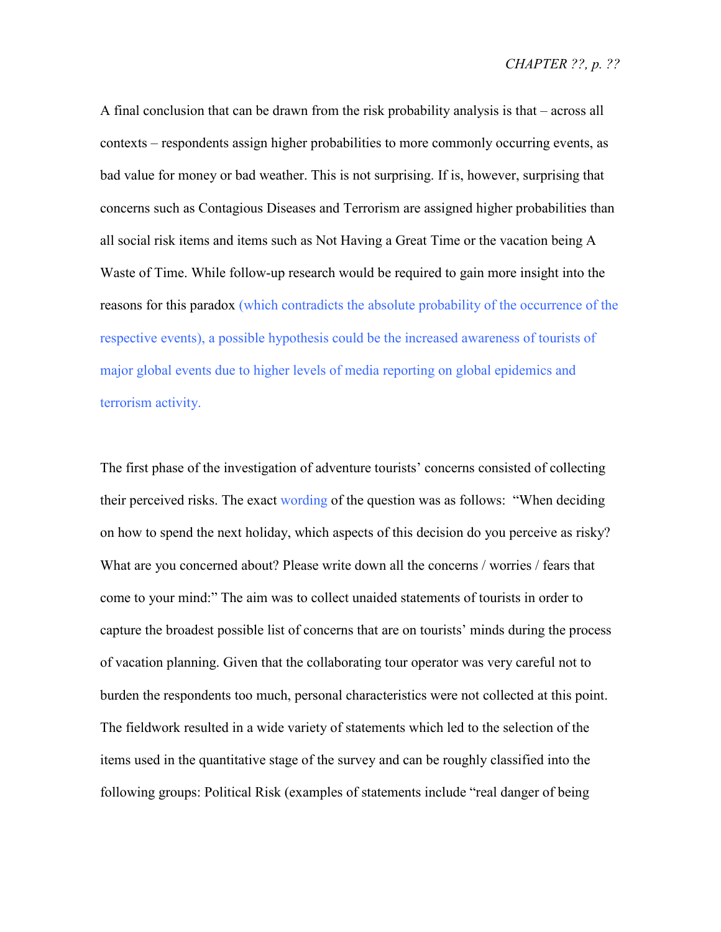A final conclusion that can be drawn from the risk probability analysis is that – across all contexts – respondents assign higher probabilities to more commonly occurring events, as bad value for money or bad weather. This is not surprising. If is, however, surprising that concerns such as Contagious Diseases and Terrorism are assigned higher probabilities than all social risk items and items such as Not Having a Great Time or the vacation being A Waste of Time. While follow-up research would be required to gain more insight into the reasons for this paradox (which contradicts the absolute probability of the occurrence of the respective events), a possible hypothesis could be the increased awareness of tourists of major global events due to higher levels of media reporting on global epidemics and terrorism activity.

The first phase of the investigation of adventure tourists' concerns consisted of collecting their perceived risks. The exact wording of the question was as follows: "When deciding on how to spend the next holiday, which aspects of this decision do you perceive as risky? What are you concerned about? Please write down all the concerns / worries / fears that come to your mind:" The aim was to collect unaided statements of tourists in order to capture the broadest possible list of concerns that are on tourists' minds during the process of vacation planning. Given that the collaborating tour operator was very careful not to burden the respondents too much, personal characteristics were not collected at this point. The fieldwork resulted in a wide variety of statements which led to the selection of the items used in the quantitative stage of the survey and can be roughly classified into the following groups: Political Risk (examples of statements include "real danger of being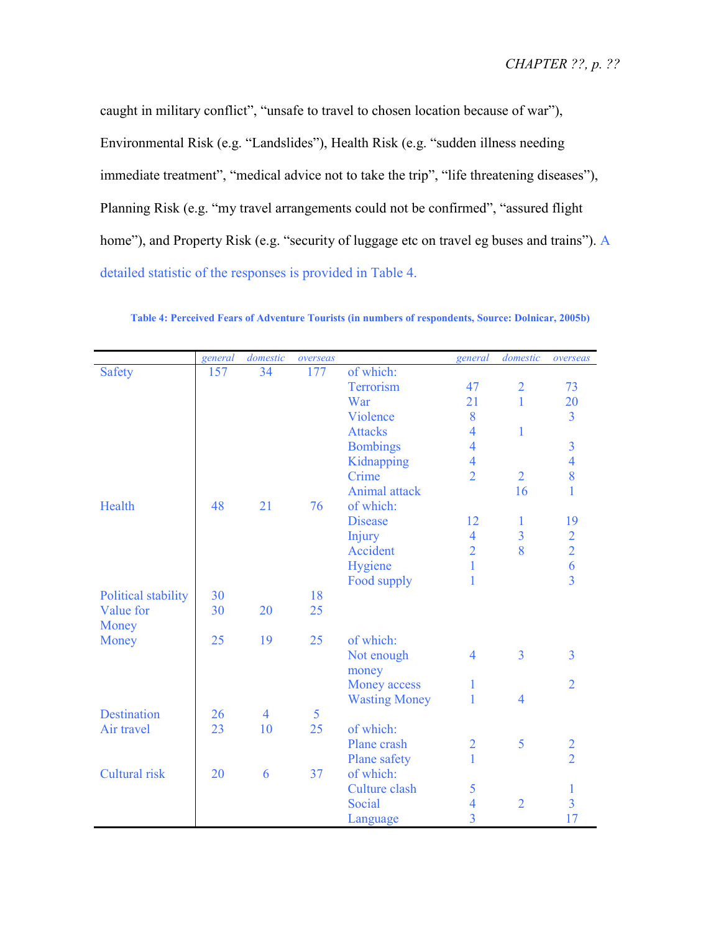caught in military conflict", "unsafe to travel to chosen location because of war"), Environmental Risk (e.g. "Landslides"), Health Risk (e.g. "sudden illness needing immediate treatment", "medical advice not to take the trip", "life threatening diseases"), Planning Risk (e.g. "my travel arrangements could not be confirmed", "assured flight home"), and Property Risk (e.g. "security of luggage etc on travel eg buses and trains"). A detailed statistic of the responses is provided in Table 4.

|                     | general | domestic       | overseas |                      | general                  | domestic       | overseas                                   |
|---------------------|---------|----------------|----------|----------------------|--------------------------|----------------|--------------------------------------------|
| <b>Safety</b>       | 157     | 34             | 177      | of which:            |                          |                |                                            |
|                     |         |                |          | Terrorism            | 47                       | $\overline{2}$ | 73                                         |
|                     |         |                |          | War                  | 21                       | $\mathbf{1}$   | 20                                         |
|                     |         |                |          | Violence             | 8                        |                | $\overline{3}$                             |
|                     |         |                |          | <b>Attacks</b>       | $\overline{4}$           | $\mathbf{1}$   |                                            |
|                     |         |                |          | <b>Bombings</b>      | $\overline{4}$           |                | $\overline{3}$                             |
|                     |         |                |          | Kidnapping           | $\overline{4}$           |                | $\overline{4}$                             |
|                     |         |                |          | Crime                | $\overline{2}$           | $\overline{2}$ | 8                                          |
|                     |         |                |          | Animal attack        |                          | 16             | 1                                          |
| Health              | 48      | 21             | 76       | of which:            |                          |                |                                            |
|                     |         |                |          | <b>Disease</b>       | 12                       | 1              | 19                                         |
|                     |         |                |          | <b>Injury</b>        | $\overline{4}$           | $\overline{3}$ |                                            |
|                     |         |                |          | Accident             | $\overline{2}$           | 8              | $\begin{array}{c} 2 \\ 2 \\ 6 \end{array}$ |
|                     |         |                |          | Hygiene              | $\mathbf{1}$             |                |                                            |
|                     |         |                |          | Food supply          | $\mathbf{1}$             |                | $\overline{3}$                             |
| Political stability | 30      |                | 18       |                      |                          |                |                                            |
| Value for           | 30      | 20             | 25       |                      |                          |                |                                            |
| Money               |         |                |          |                      |                          |                |                                            |
| Money               | 25      | 19             | 25       | of which:            |                          |                |                                            |
|                     |         |                |          | Not enough           | $\overline{4}$           | $\overline{3}$ | 3                                          |
|                     |         |                |          | money                |                          |                |                                            |
|                     |         |                |          | <b>Money access</b>  | $\mathbf{1}$             |                | $\overline{2}$                             |
|                     |         |                |          | <b>Wasting Money</b> | 1                        | $\overline{4}$ |                                            |
| <b>Destination</b>  | 26      | $\overline{4}$ | 5        |                      |                          |                |                                            |
| Air travel          | 23      | 10             | 25       | of which:            |                          |                |                                            |
|                     |         |                |          | Plane crash          | $\overline{2}$           | 5              |                                            |
|                     |         |                |          | Plane safety         | $\mathbf{1}$             |                | $\frac{2}{2}$                              |
| Cultural risk       | 20      | 6              | 37       | of which:            |                          |                |                                            |
|                     |         |                |          | <b>Culture clash</b> | 5                        |                | 1                                          |
|                     |         |                |          | Social               | $\overline{\mathcal{A}}$ | $\overline{2}$ | $\overline{3}$                             |
|                     |         |                |          | Language             | $\overline{3}$           |                | 17                                         |

**Table 4: Perceived Fears of Adventure Tourists (in numbers of respondents, Source: Dolnicar, 2005b)**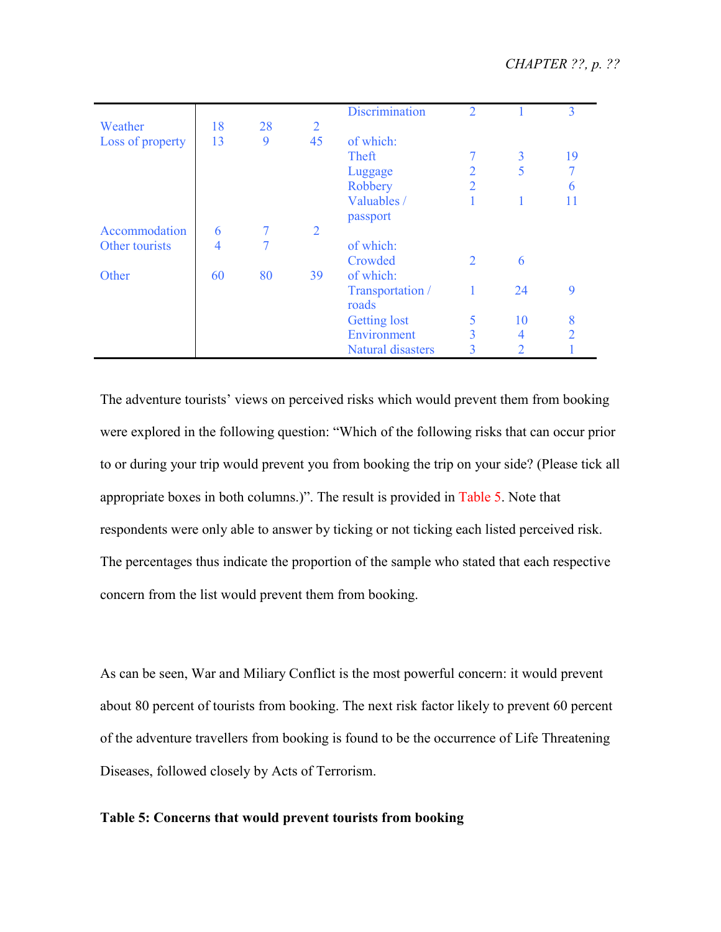|                  |    |    |                | <b>Discrimination</b> | $\overline{2}$ |    | 3              |
|------------------|----|----|----------------|-----------------------|----------------|----|----------------|
| Weather          | 18 | 28 | $\overline{2}$ |                       |                |    |                |
| Loss of property | 13 | 9  | 45             | of which:             |                |    |                |
|                  |    |    |                | Theft                 | 7              | 3  | 19             |
|                  |    |    |                | Luggage               | $\overline{2}$ | 5  |                |
|                  |    |    |                | Robbery               | $\overline{2}$ |    | 6              |
|                  |    |    |                | Valuables /           |                |    |                |
|                  |    |    |                | passport              |                |    |                |
| Accommodation    | 6  | 7  | 2              |                       |                |    |                |
| Other tourists   | 4  |    |                | of which:             |                |    |                |
|                  |    |    |                | Crowded               | $\overline{2}$ | 6  |                |
| Other            | 60 | 80 | 39             | of which:             |                |    |                |
|                  |    |    |                | Transportation /      |                | 24 | 9              |
|                  |    |    |                | roads                 |                |    |                |
|                  |    |    |                | <b>Getting lost</b>   | 5              | 10 | 8              |
|                  |    |    |                | Environment           | 3              | 4  | $\mathfrak{D}$ |
|                  |    |    |                | Natural disasters     | 3              | 2  |                |

The adventure tourists' views on perceived risks which would prevent them from booking were explored in the following question: "Which of the following risks that can occur prior to or during your trip would prevent you from booking the trip on your side? (Please tick all appropriate boxes in both columns.)". The result is provided in Table 5. Note that respondents were only able to answer by ticking or not ticking each listed perceived risk. The percentages thus indicate the proportion of the sample who stated that each respective concern from the list would prevent them from booking.

As can be seen, War and Miliary Conflict is the most powerful concern: it would prevent about 80 percent of tourists from booking. The next risk factor likely to prevent 60 percent of the adventure travellers from booking is found to be the occurrence of Life Threatening Diseases, followed closely by Acts of Terrorism.

### **Table 5: Concerns that would prevent tourists from booking**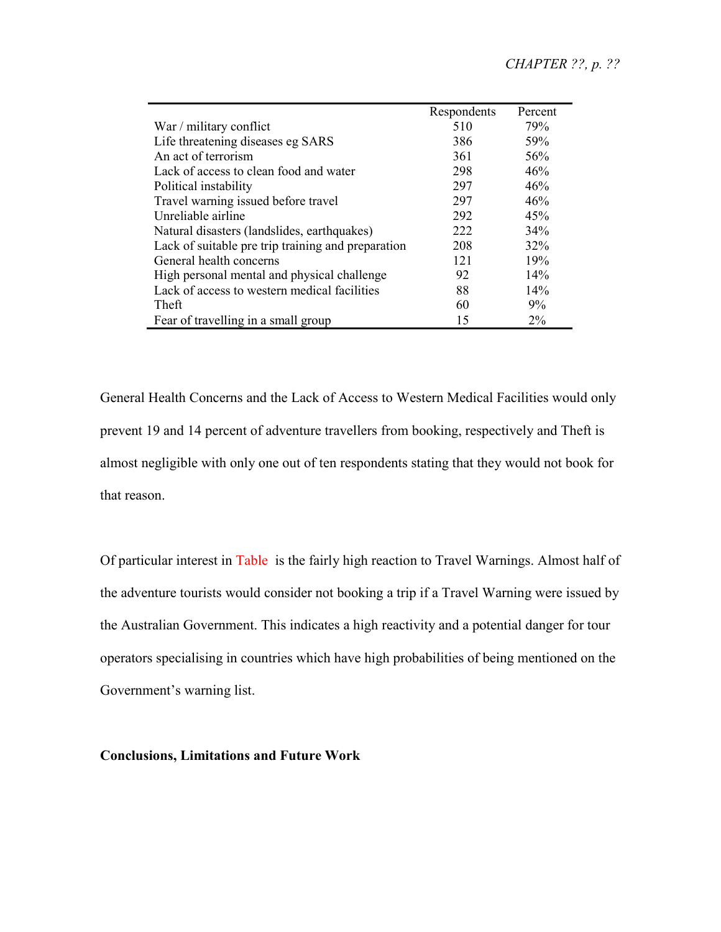|                                                    | Respondents | Percent |
|----------------------------------------------------|-------------|---------|
| War / military conflict                            | 510         | 79%     |
| Life threatening diseases eg SARS                  | 386         | 59%     |
| An act of terrorism                                | 361         | 56%     |
| Lack of access to clean food and water             | 298         | 46%     |
| Political instability                              | 297         | 46%     |
| Travel warning issued before travel                | 297         | 46%     |
| Unreliable airline                                 | 292         | 45%     |
| Natural disasters (landslides, earthquakes)        | 222         | 34%     |
| Lack of suitable pre trip training and preparation | 208         | 32%     |
| General health concerns                            | 121         | 19%     |
| High personal mental and physical challenge        | 92          | 14%     |
| Lack of access to western medical facilities       | 88          | 14%     |
| Theft                                              | 60          | 9%      |
| Fear of travelling in a small group                | 15          | $2\%$   |

General Health Concerns and the Lack of Access to Western Medical Facilities would only prevent 19 and 14 percent of adventure travellers from booking, respectively and Theft is almost negligible with only one out of ten respondents stating that they would not book for that reason.

Of particular interest in Table is the fairly high reaction to Travel Warnings. Almost half of the adventure tourists would consider not booking a trip if a Travel Warning were issued by the Australian Government. This indicates a high reactivity and a potential danger for tour operators specialising in countries which have high probabilities of being mentioned on the Government's warning list.

**Conclusions, Limitations and Future Work**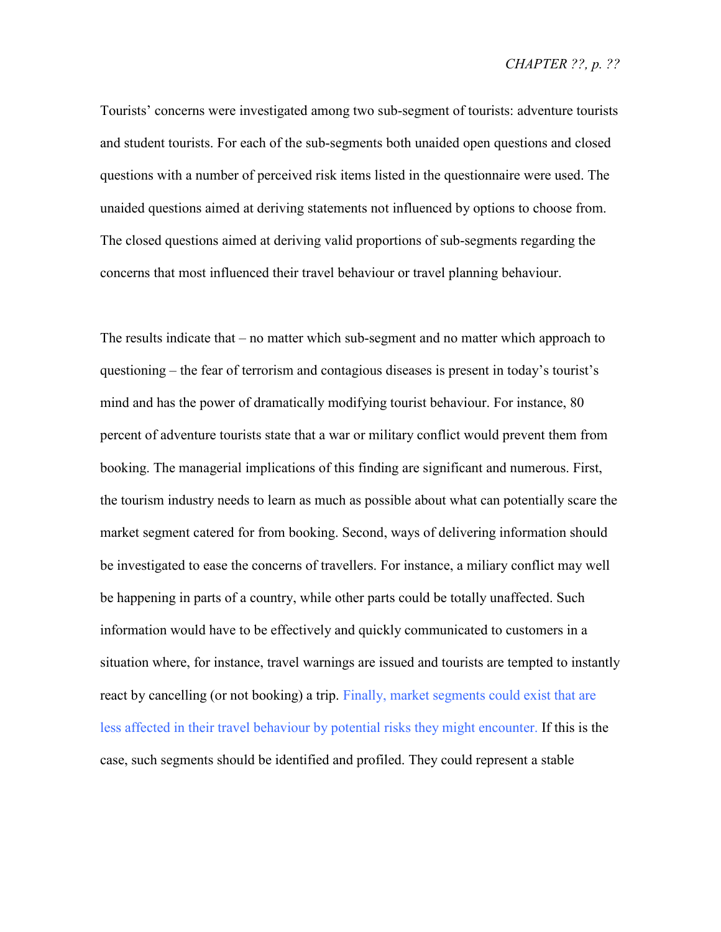Tourists' concerns were investigated among two sub-segment of tourists: adventure tourists and student tourists. For each of the sub-segments both unaided open questions and closed questions with a number of perceived risk items listed in the questionnaire were used. The unaided questions aimed at deriving statements not influenced by options to choose from. The closed questions aimed at deriving valid proportions of sub-segments regarding the concerns that most influenced their travel behaviour or travel planning behaviour.

The results indicate that – no matter which sub-segment and no matter which approach to questioning – the fear of terrorism and contagious diseases is present in today's tourist's mind and has the power of dramatically modifying tourist behaviour. For instance, 80 percent of adventure tourists state that a war or military conflict would prevent them from booking. The managerial implications of this finding are significant and numerous. First, the tourism industry needs to learn as much as possible about what can potentially scare the market segment catered for from booking. Second, ways of delivering information should be investigated to ease the concerns of travellers. For instance, a miliary conflict may well be happening in parts of a country, while other parts could be totally unaffected. Such information would have to be effectively and quickly communicated to customers in a situation where, for instance, travel warnings are issued and tourists are tempted to instantly react by cancelling (or not booking) a trip. Finally, market segments could exist that are less affected in their travel behaviour by potential risks they might encounter. If this is the case, such segments should be identified and profiled. They could represent a stable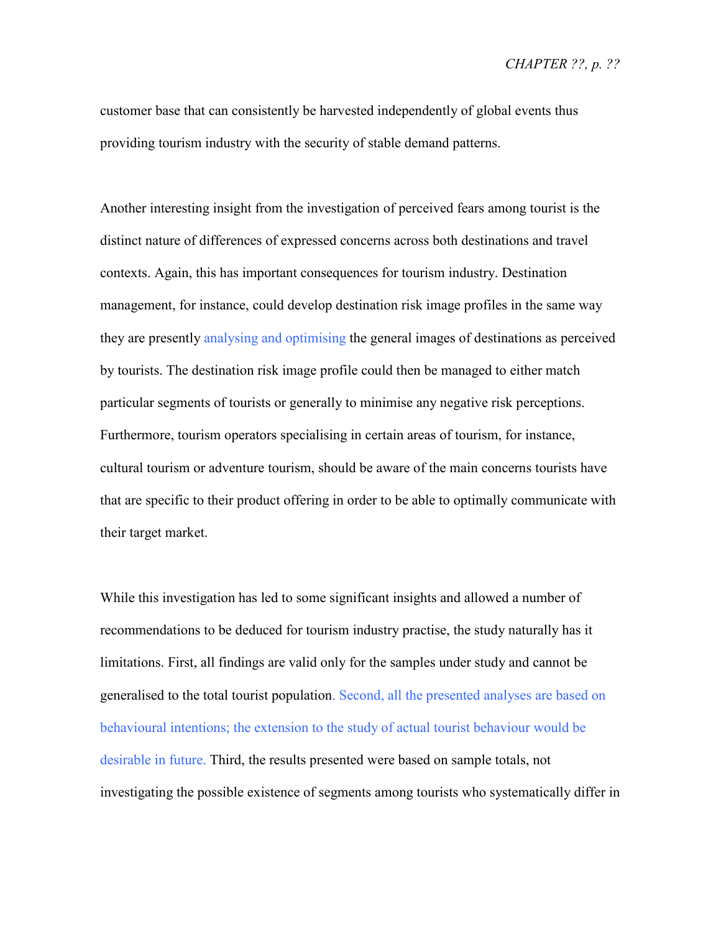customer base that can consistently be harvested independently of global events thus providing tourism industry with the security of stable demand patterns.

Another interesting insight from the investigation of perceived fears among tourist is the distinct nature of differences of expressed concerns across both destinations and travel contexts. Again, this has important consequences for tourism industry. Destination management, for instance, could develop destination risk image profiles in the same way they are presently analysing and optimising the general images of destinations as perceived by tourists. The destination risk image profile could then be managed to either match particular segments of tourists or generally to minimise any negative risk perceptions. Furthermore, tourism operators specialising in certain areas of tourism, for instance, cultural tourism or adventure tourism, should be aware of the main concerns tourists have that are specific to their product offering in order to be able to optimally communicate with their target market.

While this investigation has led to some significant insights and allowed a number of recommendations to be deduced for tourism industry practise, the study naturally has it limitations. First, all findings are valid only for the samples under study and cannot be generalised to the total tourist population. Second, all the presented analyses are based on behavioural intentions; the extension to the study of actual tourist behaviour would be desirable in future. Third, the results presented were based on sample totals, not investigating the possible existence of segments among tourists who systematically differ in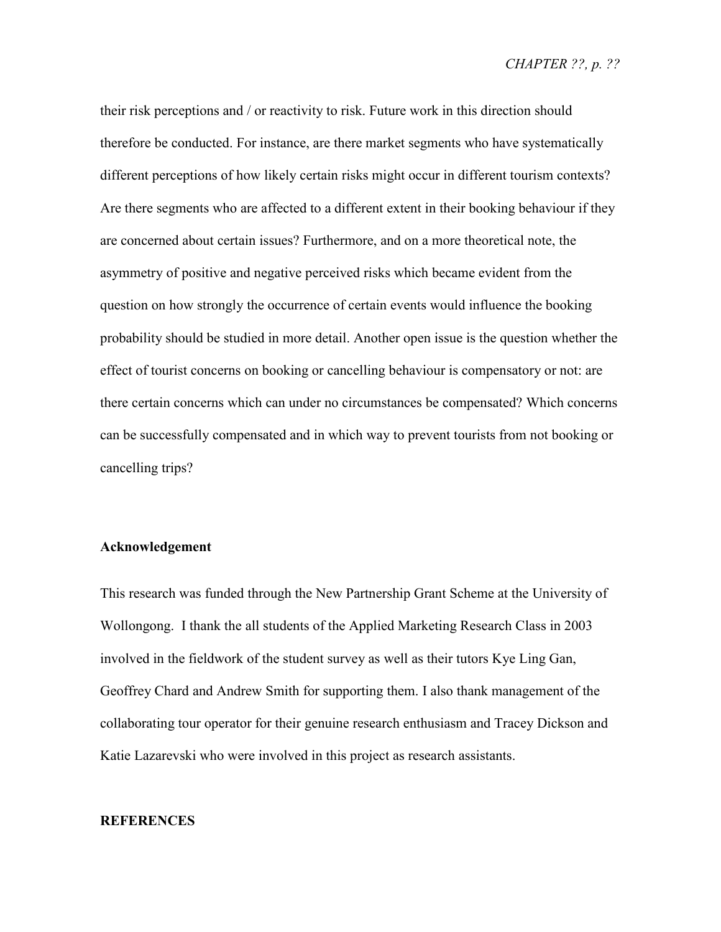*CHAPTER ??, p. ??* 

their risk perceptions and / or reactivity to risk. Future work in this direction should therefore be conducted. For instance, are there market segments who have systematically different perceptions of how likely certain risks might occur in different tourism contexts? Are there segments who are affected to a different extent in their booking behaviour if they are concerned about certain issues? Furthermore, and on a more theoretical note, the asymmetry of positive and negative perceived risks which became evident from the question on how strongly the occurrence of certain events would influence the booking probability should be studied in more detail. Another open issue is the question whether the effect of tourist concerns on booking or cancelling behaviour is compensatory or not: are there certain concerns which can under no circumstances be compensated? Which concerns can be successfully compensated and in which way to prevent tourists from not booking or cancelling trips?

#### **Acknowledgement**

This research was funded through the New Partnership Grant Scheme at the University of Wollongong. I thank the all students of the Applied Marketing Research Class in 2003 involved in the fieldwork of the student survey as well as their tutors Kye Ling Gan, Geoffrey Chard and Andrew Smith for supporting them. I also thank management of the collaborating tour operator for their genuine research enthusiasm and Tracey Dickson and Katie Lazarevski who were involved in this project as research assistants.

## **REFERENCES**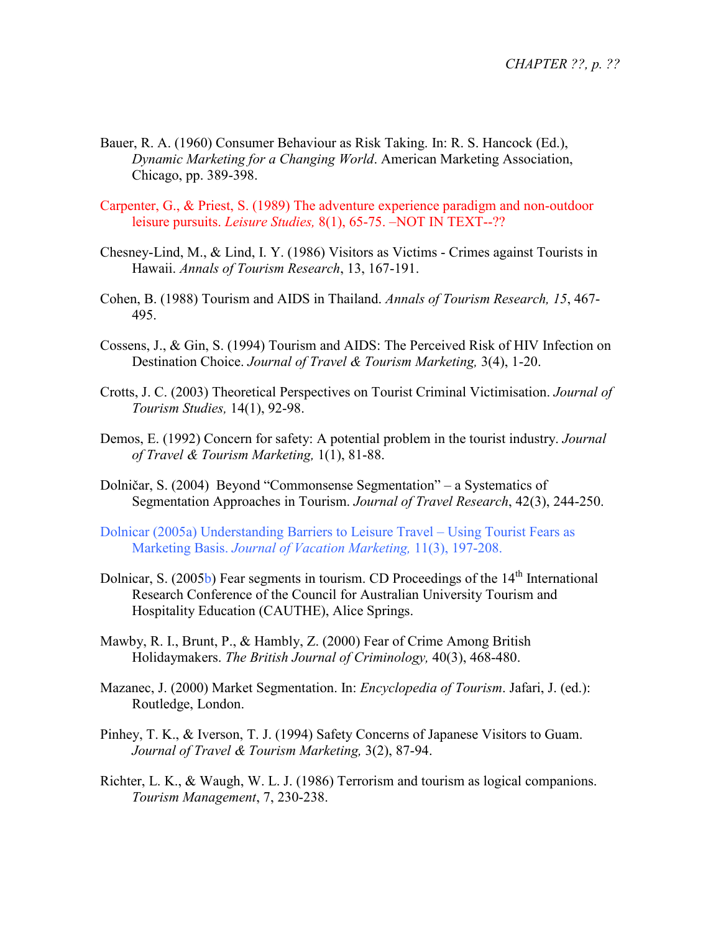- Bauer, R. A. (1960) Consumer Behaviour as Risk Taking. In: R. S. Hancock (Ed.), *Dynamic Marketing for a Changing World*. American Marketing Association, Chicago, pp. 389-398.
- Carpenter, G., & Priest, S. (1989) The adventure experience paradigm and non-outdoor leisure pursuits. *Leisure Studies,* 8(1), 65-75. –NOT IN TEXT--??
- Chesney-Lind, M., & Lind, I. Y. (1986) Visitors as Victims Crimes against Tourists in Hawaii. *Annals of Tourism Research*, 13, 167-191.
- Cohen, B. (1988) Tourism and AIDS in Thailand. *Annals of Tourism Research, 15*, 467- 495.
- Cossens, J., & Gin, S. (1994) Tourism and AIDS: The Perceived Risk of HIV Infection on Destination Choice. *Journal of Travel & Tourism Marketing,* 3(4), 1-20.
- Crotts, J. C. (2003) Theoretical Perspectives on Tourist Criminal Victimisation. *Journal of Tourism Studies,* 14(1), 92-98.
- Demos, E. (1992) Concern for safety: A potential problem in the tourist industry. *Journal of Travel & Tourism Marketing,* 1(1), 81-88.
- Dolničar, S. (2004) Beyond "Commonsense Segmentation" a Systematics of Segmentation Approaches in Tourism. *Journal of Travel Research*, 42(3), 244-250.
- Dolnicar (2005a) Understanding Barriers to Leisure Travel Using Tourist Fears as Marketing Basis. *Journal of Vacation Marketing,* 11(3), 197-208.
- Dolnicar, S. (2005b) Fear segments in tourism. CD Proceedings of the 14<sup>th</sup> International Research Conference of the Council for Australian University Tourism and Hospitality Education (CAUTHE), Alice Springs.
- Mawby, R. I., Brunt, P., & Hambly, Z. (2000) Fear of Crime Among British Holidaymakers. *The British Journal of Criminology,* 40(3), 468-480.
- Mazanec, J. (2000) Market Segmentation. In: *Encyclopedia of Tourism*. Jafari, J. (ed.): Routledge, London.
- Pinhey, T. K., & Iverson, T. J. (1994) Safety Concerns of Japanese Visitors to Guam. *Journal of Travel & Tourism Marketing,* 3(2), 87-94.
- Richter, L. K., & Waugh, W. L. J. (1986) Terrorism and tourism as logical companions. *Tourism Management*, 7, 230-238.